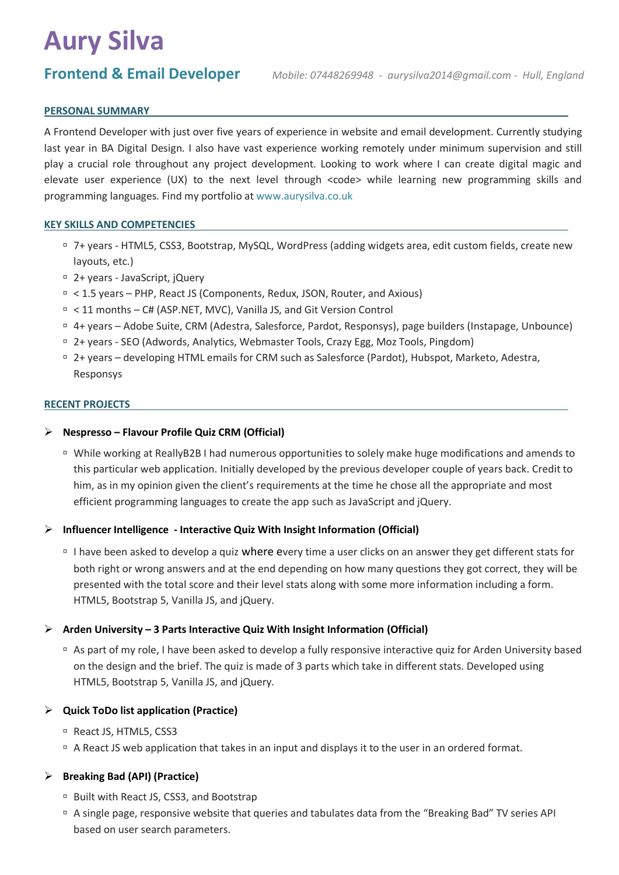# **Aury Silva**

## **PERSONAL SUMMARY**

A Frontend Developer with just over five years of experience in website and email development. Currently studying last year in BA Digital Design. I also have vast experience working remotely under minimum supervision and still play a crucial role throughout any project development. Looking to work where I can create digital magic and elevate user experience (UX) to the next level through <code> while learning new programming skills and programming languages. Find my portfolio a[t www.aurysilva.co.uk](http://www.aurysilva.co.uk/)

# **KEY SKILLS AND COMPETENCIES**

- 7+ years HTML5, CSS3, Bootstrap, MySQL, WordPress (adding widgets area, edit custom fields, create new layouts, etc.)
- 2+ years JavaScript, jQuery
- < 1.5 years PHP, React JS (Components, Redux, JSON, Router, and Axious)
- □ < 11 months C# (ASP.NET, MVC), Vanilla JS, and Git Version Control
- 4+ years Adobe Suite, CRM (Adestra, Salesforce, Pardot, Responsys), page builders (Instapage, Unbounce)
- 2+ years SEO (Adwords, Analytics, Webmaster Tools, Crazy Egg, Moz Tools, Pingdom)
- 2+ years developing HTML emails for CRM such as Salesforce (Pardot), Hubspot, Marketo, Adestra, Responsys

#### **RECENT PROJECTS**

#### ➢ **Nespresso – Flavour Profile Quiz CRM (Official)**

 While working at ReallyB2B I had numerous opportunities to solely make huge modifications and amends to this particular web application. Initially developed by the previous developer couple of years back. Credit to him, as in my opinion given the client's requirements at the time he chose all the appropriate and most efficient programming languages to create the app such as JavaScript and jQuery.

#### ➢ **Influencer Intelligence - Interactive Quiz With Insight Information (Official)**

I have been asked to develop a quiz where every time a user clicks on an answer they get different stats for both right or wrong answers and at the end depending on how many questions they got correct, they will be presented with the total score and their level stats along with some more information including a form. HTML5, Bootstrap 5, Vanilla JS, and jQuery.

#### ➢ **Arden University – 3 Parts Interactive Quiz With Insight Information (Official)**

 As part of my role, I have been asked to develop a fully responsive interactive quiz for Arden University based on the design and the brief. The quiz is made of 3 parts which take in different stats. Developed using HTML5, Bootstrap 5, Vanilla JS, and jQuery.

#### ➢ **Quick ToDo list application (Practice)**

- React JS, HTML5, CSS3
- A React JS web application that takes in an input and displays it to the user in an ordered format.

### ➢ **Breaking Bad (API) (Practice)**

- □ Built with React JS, CSS3, and Bootstrap
- A single page, responsive website that queries and tabulates data from the "Breaking Bad" TV series API based on user search parameters.